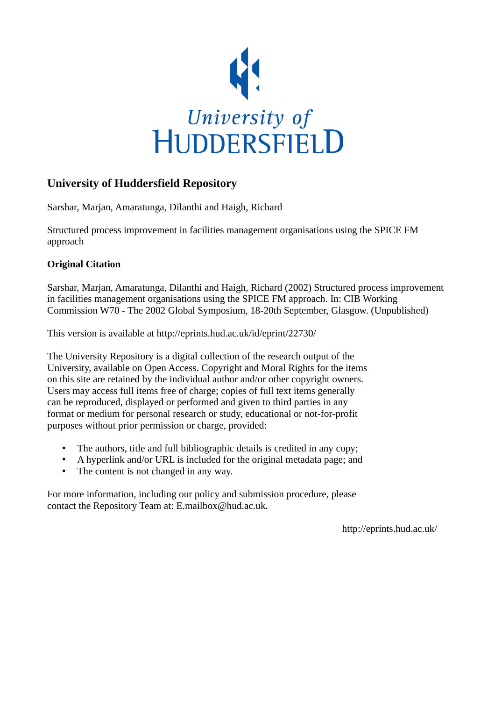

## **University of Huddersfield Repository**

Sarshar, Marjan, Amaratunga, Dilanthi and Haigh, Richard

Structured process improvement in facilities management organisations using the SPICE FM approach

### **Original Citation**

Sarshar, Marjan, Amaratunga, Dilanthi and Haigh, Richard (2002) Structured process improvement in facilities management organisations using the SPICE FM approach. In: CIB Working Commission W70 - The 2002 Global Symposium, 18-20th September, Glasgow. (Unpublished)

This version is available at http://eprints.hud.ac.uk/id/eprint/22730/

The University Repository is a digital collection of the research output of the University, available on Open Access. Copyright and Moral Rights for the items on this site are retained by the individual author and/or other copyright owners. Users may access full items free of charge; copies of full text items generally can be reproduced, displayed or performed and given to third parties in any format or medium for personal research or study, educational or not-for-profit purposes without prior permission or charge, provided:

- The authors, title and full bibliographic details is credited in any copy;
- A hyperlink and/or URL is included for the original metadata page; and
- The content is not changed in any way.

For more information, including our policy and submission procedure, please contact the Repository Team at: E.mailbox@hud.ac.uk.

http://eprints.hud.ac.uk/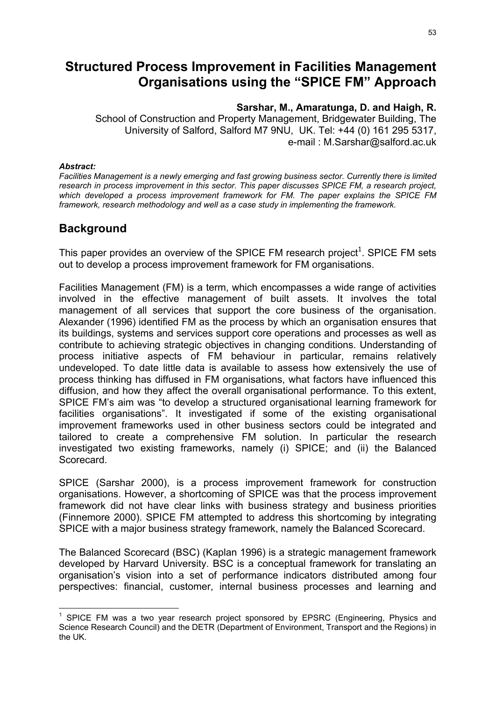# **Structured Process Improvement in Facilities Management Organisations using the "SPICE FM" Approach**

### **Sarshar, M., Amaratunga, D. and Haigh, R.**

School of Construction and Property Management, Bridgewater Building, The University of Salford, Salford M7 9NU, UK. Tel: +44 (0) 161 295 5317, e-mail : M.Sarshar@salford.ac.uk

#### *Abstract:*

l

*Facilities Management is a newly emerging and fast growing business sector. Currently there is limited research in process improvement in this sector. This paper discusses SPICE FM, a research project, which developed a process improvement framework for FM. The paper explains the SPICE FM framework, research methodology and well as a case study in implementing the framework.*

## **Background**

This paper provides an overview of the SPICE FM research project<sup>1</sup>. SPICE FM sets out to develop a process improvement framework for FM organisations.

Facilities Management (FM) is a term, which encompasses a wide range of activities involved in the effective management of built assets. It involves the total management of all services that support the core business of the organisation. Alexander (1996) identified FM as the process by which an organisation ensures that its buildings, systems and services support core operations and processes as well as contribute to achieving strategic objectives in changing conditions. Understanding of process initiative aspects of FM behaviour in particular, remains relatively undeveloped. To date little data is available to assess how extensively the use of process thinking has diffused in FM organisations, what factors have influenced this diffusion, and how they affect the overall organisational performance. To this extent, SPICE FM's aim was "to develop a structured organisational learning framework for facilities organisations". It investigated if some of the existing organisational improvement frameworks used in other business sectors could be integrated and tailored to create a comprehensive FM solution. In particular the research investigated two existing frameworks, namely (i) SPICE; and (ii) the Balanced Scorecard.

SPICE (Sarshar 2000), is a process improvement framework for construction organisations. However, a shortcoming of SPICE was that the process improvement framework did not have clear links with business strategy and business priorities (Finnemore 2000). SPICE FM attempted to address this shortcoming by integrating SPICE with a major business strategy framework, namely the Balanced Scorecard.

The Balanced Scorecard (BSC) (Kaplan 1996) is a strategic management framework developed by Harvard University. BSC is a conceptual framework for translating an organisation's vision into a set of performance indicators distributed among four perspectives: financial, customer, internal business processes and learning and

 $1$  SPICE FM was a two year research project sponsored by EPSRC (Engineering, Physics and Science Research Council) and the DETR (Department of Environment, Transport and the Regions) in the UK.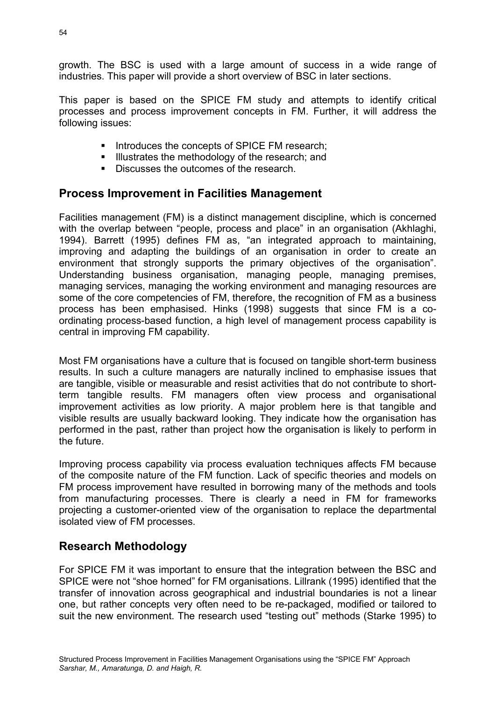54

growth. The BSC is used with a large amount of success in a wide range of industries. This paper will provide a short overview of BSC in later sections.

This paper is based on the SPICE FM study and attempts to identify critical processes and process improvement concepts in FM. Further, it will address the following issues:

- Introduces the concepts of SPICE FM research;
- Illustrates the methodology of the research; and
- Discusses the outcomes of the research.

## **Process Improvement in Facilities Management**

Facilities management (FM) is a distinct management discipline, which is concerned with the overlap between "people, process and place" in an organisation (Akhlaghi, 1994). Barrett (1995) defines FM as, "an integrated approach to maintaining, improving and adapting the buildings of an organisation in order to create an environment that strongly supports the primary objectives of the organisation". Understanding business organisation, managing people, managing premises, managing services, managing the working environment and managing resources are some of the core competencies of FM, therefore, the recognition of FM as a business process has been emphasised. Hinks (1998) suggests that since FM is a coordinating process-based function, a high level of management process capability is central in improving FM capability.

Most FM organisations have a culture that is focused on tangible short-term business results. In such a culture managers are naturally inclined to emphasise issues that are tangible, visible or measurable and resist activities that do not contribute to shortterm tangible results. FM managers often view process and organisational improvement activities as low priority. A major problem here is that tangible and visible results are usually backward looking. They indicate how the organisation has performed in the past, rather than project how the organisation is likely to perform in the future.

Improving process capability via process evaluation techniques affects FM because of the composite nature of the FM function. Lack of specific theories and models on FM process improvement have resulted in borrowing many of the methods and tools from manufacturing processes. There is clearly a need in FM for frameworks projecting a customer-oriented view of the organisation to replace the departmental isolated view of FM processes.

## **Research Methodology**

For SPICE FM it was important to ensure that the integration between the BSC and SPICE were not "shoe horned" for FM organisations. Lillrank (1995) identified that the transfer of innovation across geographical and industrial boundaries is not a linear one, but rather concepts very often need to be re-packaged, modified or tailored to suit the new environment. The research used "testing out" methods (Starke 1995) to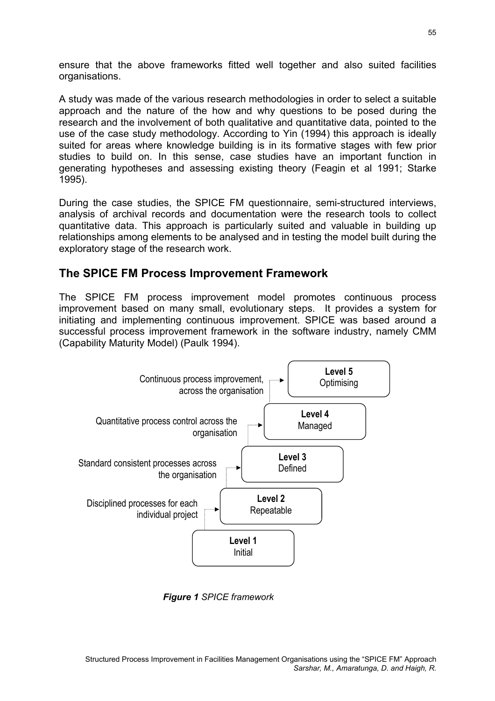ensure that the above frameworks fitted well together and also suited facilities organisations.

A study was made of the various research methodologies in order to select a suitable approach and the nature of the how and why questions to be posed during the research and the involvement of both qualitative and quantitative data, pointed to the use of the case study methodology. According to Yin (1994) this approach is ideally suited for areas where knowledge building is in its formative stages with few prior studies to build on. In this sense, case studies have an important function in generating hypotheses and assessing existing theory (Feagin et al 1991; Starke 1995).

During the case studies, the SPICE FM questionnaire, semi-structured interviews, analysis of archival records and documentation were the research tools to collect quantitative data. This approach is particularly suited and valuable in building up relationships among elements to be analysed and in testing the model built during the exploratory stage of the research work.

### **The SPICE FM Process Improvement Framework**

The SPICE FM process improvement model promotes continuous process improvement based on many small, evolutionary steps. It provides a system for initiating and implementing continuous improvement. SPICE was based around a successful process improvement framework in the software industry, namely CMM (Capability Maturity Model) (Paulk 1994).



*Figure 1 SPICE framework*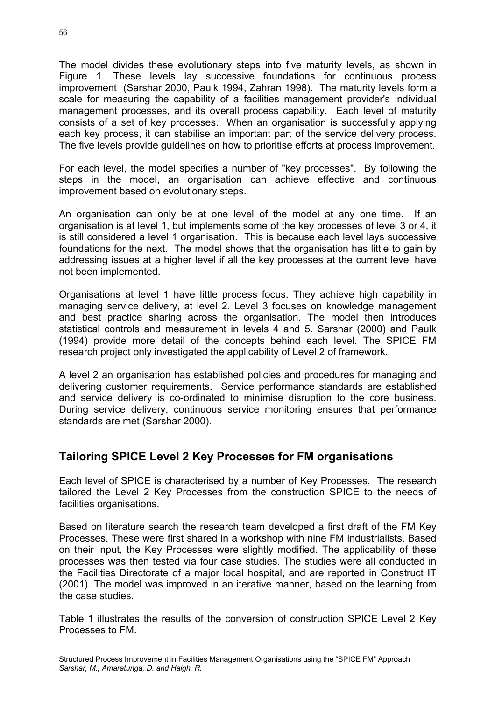The model divides these evolutionary steps into five maturity levels, as shown in Figure 1. These levels lay successive foundations for continuous process improvement (Sarshar 2000, Paulk 1994, Zahran 1998). The maturity levels form a scale for measuring the capability of a facilities management provider's individual management processes, and its overall process capability. Each level of maturity consists of a set of key processes. When an organisation is successfully applying each key process, it can stabilise an important part of the service delivery process. The five levels provide guidelines on how to prioritise efforts at process improvement.

For each level, the model specifies a number of "key processes". By following the steps in the model, an organisation can achieve effective and continuous improvement based on evolutionary steps.

An organisation can only be at one level of the model at any one time. If an organisation is at level 1, but implements some of the key processes of level 3 or 4, it is still considered a level 1 organisation. This is because each level lays successive foundations for the next. The model shows that the organisation has little to gain by addressing issues at a higher level if all the key processes at the current level have not been implemented.

Organisations at level 1 have little process focus. They achieve high capability in managing service delivery, at level 2. Level 3 focuses on knowledge management and best practice sharing across the organisation. The model then introduces statistical controls and measurement in levels 4 and 5. Sarshar (2000) and Paulk (1994) provide more detail of the concepts behind each level. The SPICE FM research project only investigated the applicability of Level 2 of framework.

A level 2 an organisation has established policies and procedures for managing and delivering customer requirements. Service performance standards are established and service delivery is co-ordinated to minimise disruption to the core business. During service delivery, continuous service monitoring ensures that performance standards are met (Sarshar 2000).

## **Tailoring SPICE Level 2 Key Processes for FM organisations**

Each level of SPICE is characterised by a number of Key Processes. The research tailored the Level 2 Key Processes from the construction SPICE to the needs of facilities organisations.

Based on literature search the research team developed a first draft of the FM Key Processes. These were first shared in a workshop with nine FM industrialists. Based on their input, the Key Processes were slightly modified. The applicability of these processes was then tested via four case studies. The studies were all conducted in the Facilities Directorate of a major local hospital, and are reported in Construct IT (2001). The model was improved in an iterative manner, based on the learning from the case studies.

Table 1 illustrates the results of the conversion of construction SPICE Level 2 Key Processes to FM.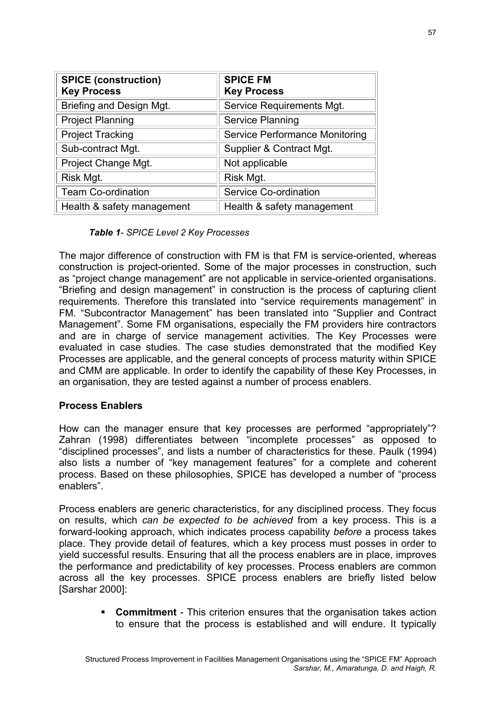| <b>SPICE (construction)</b><br><b>Key Process</b> | <b>SPICE FM</b><br><b>Key Process</b> |
|---------------------------------------------------|---------------------------------------|
| Briefing and Design Mgt.                          | Service Requirements Mgt.             |
| <b>Project Planning</b>                           | <b>Service Planning</b>               |
| <b>Project Tracking</b>                           | <b>Service Performance Monitoring</b> |
| Sub-contract Mgt.                                 | Supplier & Contract Mgt.              |
| Project Change Mgt.                               | Not applicable                        |
| Risk Mgt.                                         | Risk Mgt.                             |
| <b>Team Co-ordination</b>                         | Service Co-ordination                 |
| Health & safety management                        | Health & safety management            |

#### *Table 1- SPICE Level 2 Key Processes*

The major difference of construction with FM is that FM is service-oriented, whereas construction is project-oriented. Some of the major processes in construction, such as "project change management" are not applicable in service-oriented organisations. "Briefing and design management" in construction is the process of capturing client requirements. Therefore this translated into "service requirements management" in FM. "Subcontractor Management" has been translated into "Supplier and Contract Management". Some FM organisations, especially the FM providers hire contractors and are in charge of service management activities. The Key Processes were evaluated in case studies. The case studies demonstrated that the modified Key Processes are applicable, and the general concepts of process maturity within SPICE and CMM are applicable. In order to identify the capability of these Key Processes, in an organisation, they are tested against a number of process enablers.

### **Process Enablers**

How can the manager ensure that key processes are performed "appropriately"? Zahran (1998) differentiates between "incomplete processes" as opposed to "disciplined processes", and lists a number of characteristics for these. Paulk (1994) also lists a number of "key management features" for a complete and coherent process. Based on these philosophies, SPICE has developed a number of "process enablers".

Process enablers are generic characteristics, for any disciplined process. They focus on results, which *can be expected to be achieved* from a key process. This is a forward-looking approach, which indicates process capability *before* a process takes place. They provide detail of features, which a key process must posses in order to yield successful results. Ensuring that all the process enablers are in place, improves the performance and predictability of key processes. Process enablers are common across all the key processes. SPICE process enablers are briefly listed below [Sarshar 2000]:

> **Commitment** - This criterion ensures that the organisation takes action to ensure that the process is established and will endure. It typically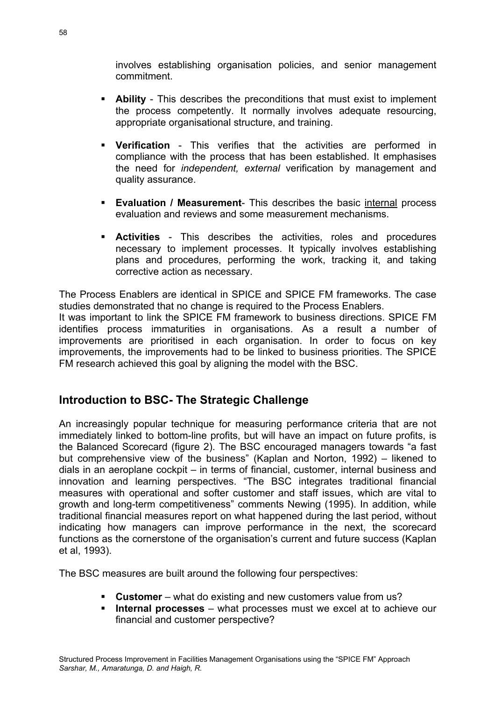involves establishing organisation policies, and senior management commitment.

- **Ability** This describes the preconditions that must exist to implement the process competently. It normally involves adequate resourcing, appropriate organisational structure, and training.
- **Verification** This verifies that the activities are performed in compliance with the process that has been established. It emphasises the need for *independent, external* verification by management and quality assurance.
- **Evaluation / Measurement** This describes the basic internal process evaluation and reviews and some measurement mechanisms.
- **Activities** This describes the activities, roles and procedures necessary to implement processes. It typically involves establishing plans and procedures, performing the work, tracking it, and taking corrective action as necessary.

The Process Enablers are identical in SPICE and SPICE FM frameworks. The case studies demonstrated that no change is required to the Process Enablers.

It was important to link the SPICE FM framework to business directions. SPICE FM identifies process immaturities in organisations. As a result a number of improvements are prioritised in each organisation. In order to focus on key improvements, the improvements had to be linked to business priorities. The SPICE FM research achieved this goal by aligning the model with the BSC.

## **Introduction to BSC- The Strategic Challenge**

An increasingly popular technique for measuring performance criteria that are not immediately linked to bottom-line profits, but will have an impact on future profits, is the Balanced Scorecard (figure 2). The BSC encouraged managers towards "a fast but comprehensive view of the business" (Kaplan and Norton, 1992) – likened to dials in an aeroplane cockpit – in terms of financial, customer, internal business and innovation and learning perspectives. "The BSC integrates traditional financial measures with operational and softer customer and staff issues, which are vital to growth and long-term competitiveness" comments Newing (1995). In addition, while traditional financial measures report on what happened during the last period, without indicating how managers can improve performance in the next, the scorecard functions as the cornerstone of the organisation's current and future success (Kaplan et al, 1993).

The BSC measures are built around the following four perspectives:

- **Customer** what do existing and new customers value from us?
- **Internal processes** what processes must we excel at to achieve our financial and customer perspective?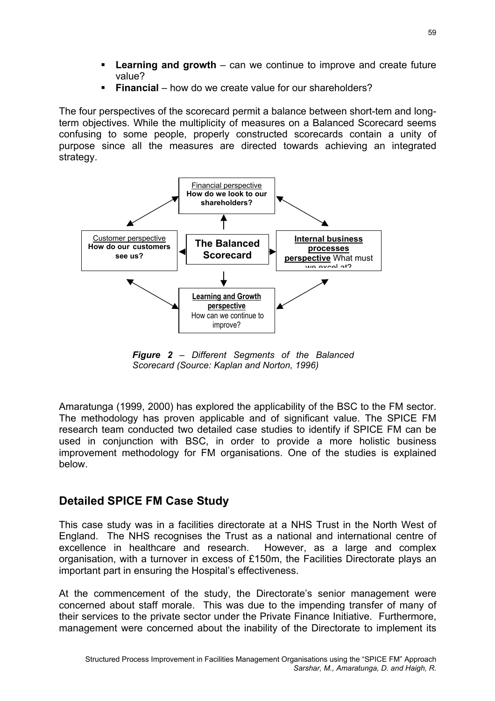- **Learning and growth** can we continue to improve and create future value?
- **Financial** how do we create value for our shareholders?

The four perspectives of the scorecard permit a balance between short-tem and longterm objectives. While the multiplicity of measures on a Balanced Scorecard seems confusing to some people, properly constructed scorecards contain a unity of purpose since all the measures are directed towards achieving an integrated strategy.



*Figure 2 – Different Segments of the Balanced Scorecard (Source: Kaplan and Norton, 1996)* 

Amaratunga (1999, 2000) has explored the applicability of the BSC to the FM sector. The methodology has proven applicable and of significant value. The SPICE FM research team conducted two detailed case studies to identify if SPICE FM can be used in conjunction with BSC, in order to provide a more holistic business improvement methodology for FM organisations. One of the studies is explained below.

# **Detailed SPICE FM Case Study**

This case study was in a facilities directorate at a NHS Trust in the North West of England. The NHS recognises the Trust as a national and international centre of excellence in healthcare and research. However, as a large and complex organisation, with a turnover in excess of £150m, the Facilities Directorate plays an important part in ensuring the Hospital's effectiveness.

At the commencement of the study, the Directorate's senior management were concerned about staff morale. This was due to the impending transfer of many of their services to the private sector under the Private Finance Initiative. Furthermore, management were concerned about the inability of the Directorate to implement its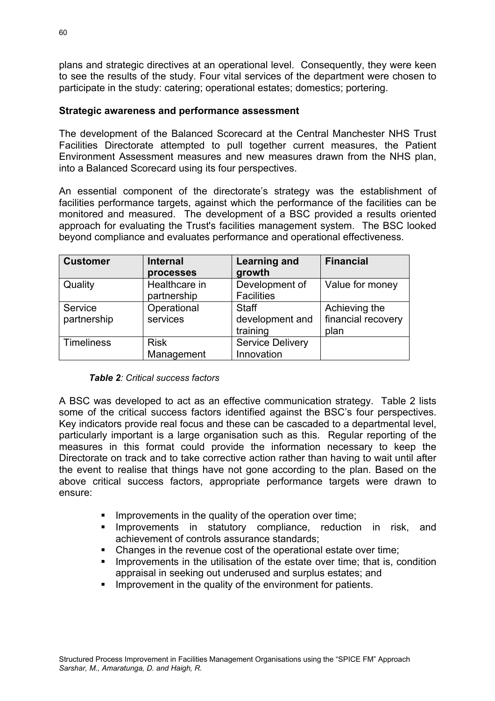plans and strategic directives at an operational level. Consequently, they were keen to see the results of the study. Four vital services of the department were chosen to participate in the study: catering; operational estates; domestics; portering.

### **Strategic awareness and performance assessment**

The development of the Balanced Scorecard at the Central Manchester NHS Trust Facilities Directorate attempted to pull together current measures, the Patient Environment Assessment measures and new measures drawn from the NHS plan, into a Balanced Scorecard using its four perspectives.

An essential component of the directorate's strategy was the establishment of facilities performance targets, against which the performance of the facilities can be monitored and measured. The development of a BSC provided a results oriented approach for evaluating the Trust's facilities management system. The BSC looked beyond compliance and evaluates performance and operational effectiveness.

| <b>Customer</b>   | <b>Internal</b> | Learning and            | <b>Financial</b>   |
|-------------------|-----------------|-------------------------|--------------------|
|                   | processes       | growth                  |                    |
| Quality           | Healthcare in   | Development of          | Value for money    |
|                   | partnership     | <b>Facilities</b>       |                    |
| Service           | Operational     | <b>Staff</b>            | Achieving the      |
| partnership       | services        | development and         | financial recovery |
|                   |                 | training                | plan               |
| <b>Timeliness</b> | <b>Risk</b>     | <b>Service Delivery</b> |                    |
|                   | Management      | Innovation              |                    |

#### *Table 2: Critical success factors*

A BSC was developed to act as an effective communication strategy. Table 2 lists some of the critical success factors identified against the BSC's four perspectives. Key indicators provide real focus and these can be cascaded to a departmental level, particularly important is a large organisation such as this. Regular reporting of the measures in this format could provide the information necessary to keep the Directorate on track and to take corrective action rather than having to wait until after the event to realise that things have not gone according to the plan. Based on the above critical success factors, appropriate performance targets were drawn to ensure:

- **IMPRO** Improvements in the quality of the operation over time;
- **Improvements in statutory compliance, reduction in risk, and** achievement of controls assurance standards;
- Changes in the revenue cost of the operational estate over time;
- **IMP** Improvements in the utilisation of the estate over time; that is, condition appraisal in seeking out underused and surplus estates; and
- **Improvement in the quality of the environment for patients.**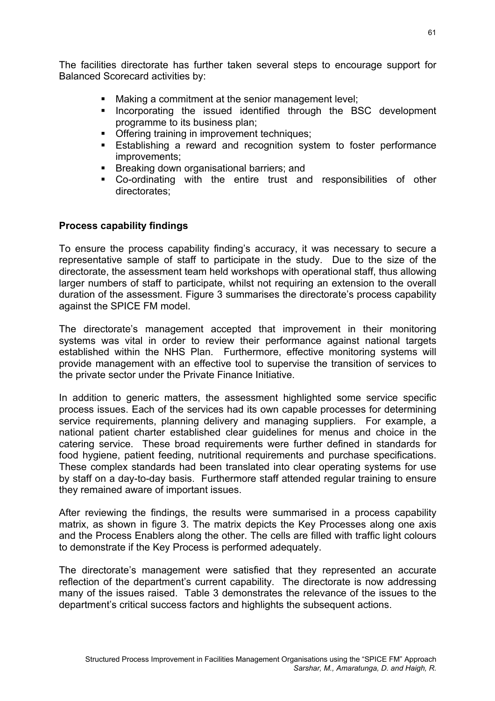The facilities directorate has further taken several steps to encourage support for Balanced Scorecard activities by:

- Making a commitment at the senior management level;
- **Incorporating the issued identified through the BSC development** programme to its business plan;
- **Offering training in improvement techniques;**
- **Establishing a reward and recognition system to foster performance** improvements;
- **Breaking down organisational barriers; and**
- Co-ordinating with the entire trust and responsibilities of other directorates;

### **Process capability findings**

To ensure the process capability finding's accuracy, it was necessary to secure a representative sample of staff to participate in the study. Due to the size of the directorate, the assessment team held workshops with operational staff, thus allowing larger numbers of staff to participate, whilst not requiring an extension to the overall duration of the assessment. Figure 3 summarises the directorate's process capability against the SPICE FM model.

The directorate's management accepted that improvement in their monitoring systems was vital in order to review their performance against national targets established within the NHS Plan. Furthermore, effective monitoring systems will provide management with an effective tool to supervise the transition of services to the private sector under the Private Finance Initiative.

In addition to generic matters, the assessment highlighted some service specific process issues. Each of the services had its own capable processes for determining service requirements, planning delivery and managing suppliers. For example, a national patient charter established clear guidelines for menus and choice in the catering service. These broad requirements were further defined in standards for food hygiene, patient feeding, nutritional requirements and purchase specifications. These complex standards had been translated into clear operating systems for use by staff on a day-to-day basis. Furthermore staff attended regular training to ensure they remained aware of important issues.

After reviewing the findings, the results were summarised in a process capability matrix, as shown in figure 3. The matrix depicts the Key Processes along one axis and the Process Enablers along the other. The cells are filled with traffic light colours to demonstrate if the Key Process is performed adequately.

The directorate's management were satisfied that they represented an accurate reflection of the department's current capability. The directorate is now addressing many of the issues raised. Table 3 demonstrates the relevance of the issues to the department's critical success factors and highlights the subsequent actions.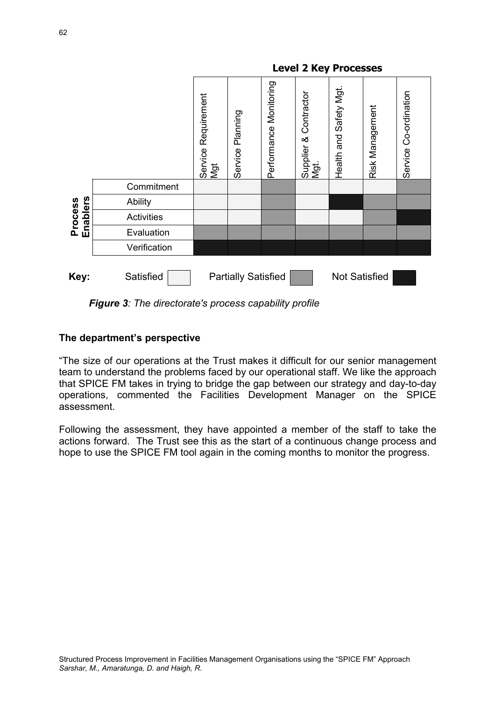

*Figure 3: The directorate's process capability profile* 

### **The department's perspective**

"The size of our operations at the Trust makes it difficult for our senior management team to understand the problems faced by our operational staff. We like the approach that SPICE FM takes in trying to bridge the gap between our strategy and day-to-day operations, commented the Facilities Development Manager on the SPICE assessment.

Following the assessment, they have appointed a member of the staff to take the actions forward. The Trust see this as the start of a continuous change process and hope to use the SPICE FM tool again in the coming months to monitor the progress.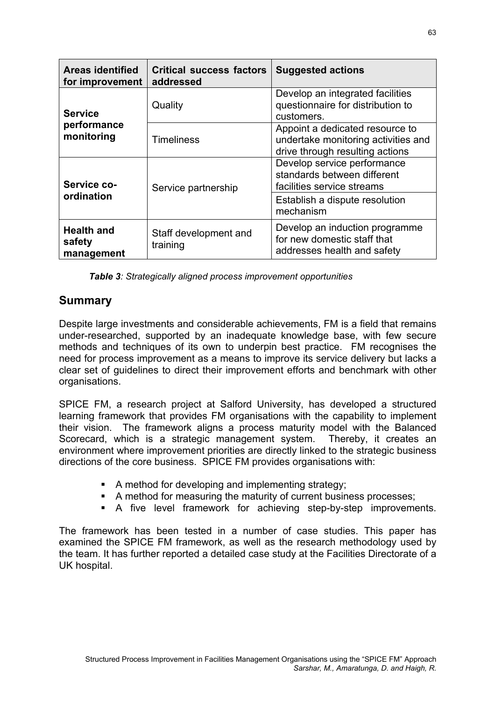| <b>Areas identified</b><br>for improvement | <b>Critical success factors</b><br>addressed | <b>Suggested actions</b>                                                                                  |  |
|--------------------------------------------|----------------------------------------------|-----------------------------------------------------------------------------------------------------------|--|
| <b>Service</b>                             | Quality                                      | Develop an integrated facilities<br>questionnaire for distribution to<br>customers.                       |  |
| performance<br>monitoring                  | <b>Timeliness</b>                            | Appoint a dedicated resource to<br>undertake monitoring activities and<br>drive through resulting actions |  |
| Service co-                                | Service partnership                          | Develop service performance<br>standards between different<br>facilities service streams                  |  |
| ordination                                 |                                              | Establish a dispute resolution<br>mechanism                                                               |  |
| <b>Health and</b><br>safety<br>management  | Staff development and<br>training            | Develop an induction programme<br>for new domestic staff that<br>addresses health and safety              |  |

|  |  |  | <b>Table 3: Strategically aligned process improvement opportunities</b> |
|--|--|--|-------------------------------------------------------------------------|
|  |  |  |                                                                         |

## **Summary**

Despite large investments and considerable achievements, FM is a field that remains under-researched, supported by an inadequate knowledge base, with few secure methods and techniques of its own to underpin best practice. FM recognises the need for process improvement as a means to improve its service delivery but lacks a clear set of guidelines to direct their improvement efforts and benchmark with other organisations.

SPICE FM, a research project at Salford University, has developed a structured learning framework that provides FM organisations with the capability to implement their vision. The framework aligns a process maturity model with the Balanced Scorecard, which is a strategic management system. Thereby, it creates an environment where improvement priorities are directly linked to the strategic business directions of the core business. SPICE FM provides organisations with:

- A method for developing and implementing strategy;
- A method for measuring the maturity of current business processes;
- A five level framework for achieving step-by-step improvements.

The framework has been tested in a number of case studies. This paper has examined the SPICE FM framework, as well as the research methodology used by the team. It has further reported a detailed case study at the Facilities Directorate of a UK hospital.